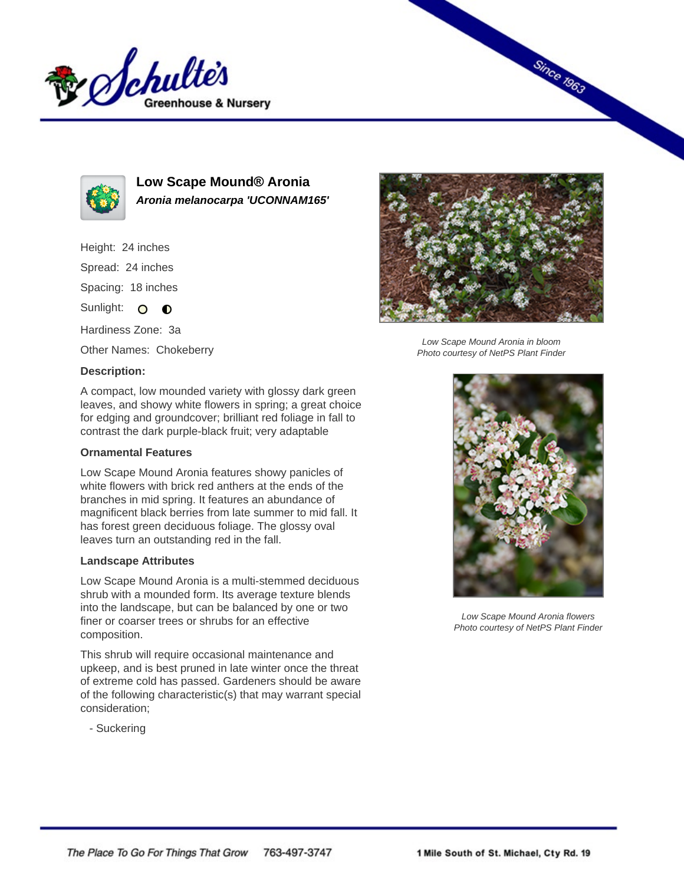



**Low Scape Mound® Aronia Aronia melanocarpa 'UCONNAM165'**

# Height: 24 inches

Spread: 24 inches

Spacing: 18 inches

Sunlight:  $\circ$  $\bullet$ 

Hardiness Zone: 3a

Other Names: Chokeberry

# **Description:**



### **Ornamental Features**

Low Scape Mound Aronia features showy panicles of white flowers with brick red anthers at the ends of the branches in mid spring. It features an abundance of magnificent black berries from late summer to mid fall. It has forest green deciduous foliage. The glossy oval leaves turn an outstanding red in the fall.

### **Landscape Attributes**

Low Scape Mound Aronia is a multi-stemmed deciduous shrub with a mounded form. Its average texture blends into the landscape, but can be balanced by one or two finer or coarser trees or shrubs for an effective composition.

This shrub will require occasional maintenance and upkeep, and is best pruned in late winter once the threat of extreme cold has passed. Gardeners should be aware of the following characteristic(s) that may warrant special consideration;

- Suckering



**Since 1963** 

Low Scape Mound Aronia in bloom Photo courtesy of NetPS Plant Finder



Low Scape Mound Aronia flowers Photo courtesy of NetPS Plant Finder